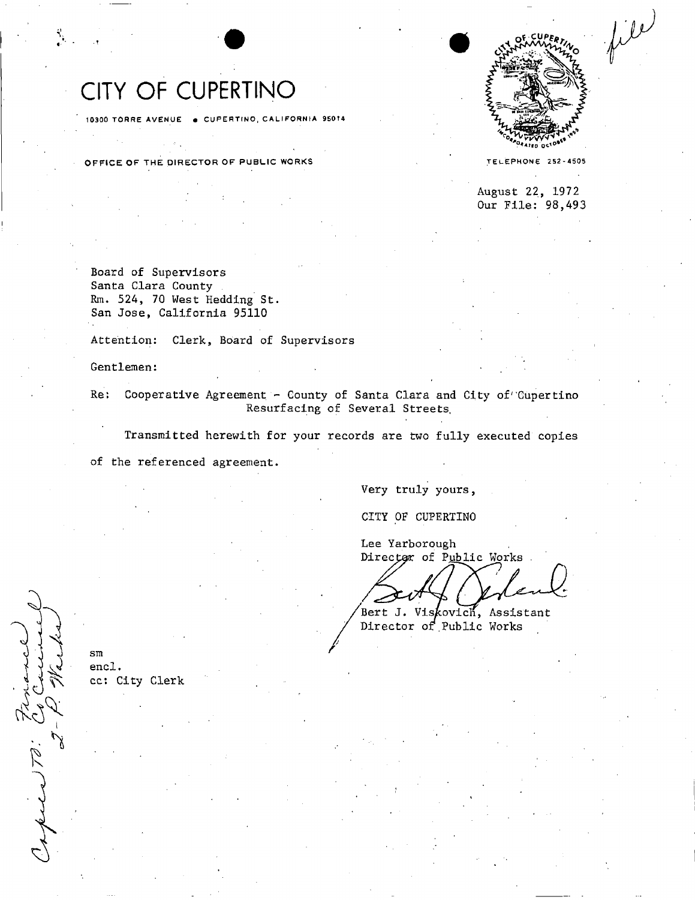# CITY OF CUPERTINO

10300 TORRE AVENUE . CUPERTINO, CALIFORNIA 95014

OFFICE OF THE DIRECTOR OF PUBLIC WORKS **STATE ASSESSMENT CONTROL** TELEPHONE 252-4505



August 22, 1972 Our File: 98,493

Board of Supervisors Santa Clara County Rm. 524, 70 West Hedding St. San Jose, California 95110

Attention: Clerk, Board of Supervisors

Gentlemen:

Re: Cooperative Agreement - County of Santa Clara and City of Cupertino Resurfacing of Several Streets.

Resurfacing of Several Streets, Transmitted herewith for your records are two fully executed copies Transmitted here with for your records are two fully executed components are two fully executed copies are two fully executies are two fully executies are two fully executies are two fully executies are two fully executie

of the referenced agreement. of the referenced agreement.

Very truly yours,

Very truly yours, CITY OF CUPERTINO CITY OF CUPERTINO

Lee Yarborough Director of Public Works

Bert J. Viskovich, Assistant Director of Public Works

sm encl. cc: City Clerk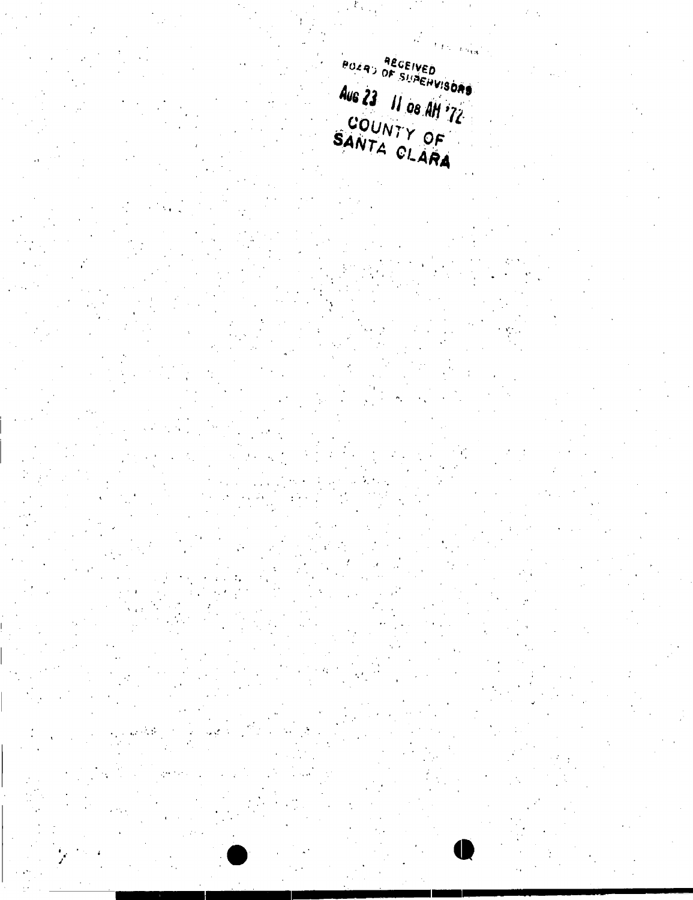$\frac{1}{2} \int \frac{1}{2} \left[ \frac{1}{L} \frac{1}{\mathcal{H}_{\mathrm{IR}}} \right]$ **POZAD AEGEIVED**<br>OF SUACHVISOAS Aus 23 11 08 AM '72 SANTA CLARA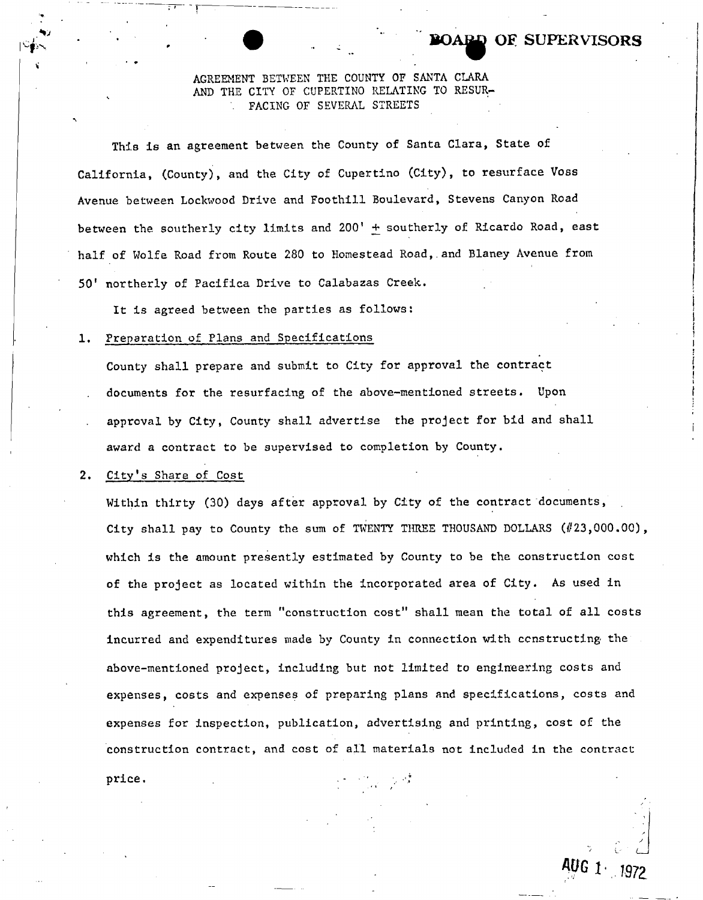### AGREEMENT BETWEEN THE COUNTY OF SANTA CLARA AND THE CITY OF CUPERTINO RELATING TO RESUR- . FACING OF SEVERAL STREETS

**BOABB OE SUPERVISORS** 

This is an agreement between the County of Santa Clara, State of California, (County), and the City of Cupertino (City), to resurface Voss Avenue between Lockwood Drive and Foothill Boulevard, Stevens Canyon Road between the southerly city limits and 200' + southerly of Ricardo Road, east half of Wolfe Road from Route 280 to Homestead Road,.and Blaney Avenue from 50<sup>1</sup> northerly of Pacifica Drive to Calabazas Creek.

It is agreed between the parties as follows:

### 1. Preparation of Plans and Specifications

County shall prepare and submit to City for approval the contract documents for the resurfacing of the above-mentioned streets. Upon approval by City, County shall advertise the project for bid and shall award a contract to be supervised to completion by County.

#### 2. City's Share of Cost

Within thirty (30) days after approval by City of the contract documents, City shall pay to County the sum of TWENTY THREE THOUSAND DOLLARS  $(\#23,000.00)$ , which is the amount presently estimated by County to be the construction cost of the project as located within the incorporated area of City. As used in this agreement, the term "construction cost" shall mean the total of all costs incurred and expenditures made by County in connection with constructing the above-mentioned project, including but not limited to engineering costs and expenses, costs and expenses of preparing plans and specifications, costs and expenses for inspection, publication, advertising and printing, cost of the construction contract, and cost of all materials not included in the contract  $\text{price.}$ 

L" ' *I*  **AUG** 1 1972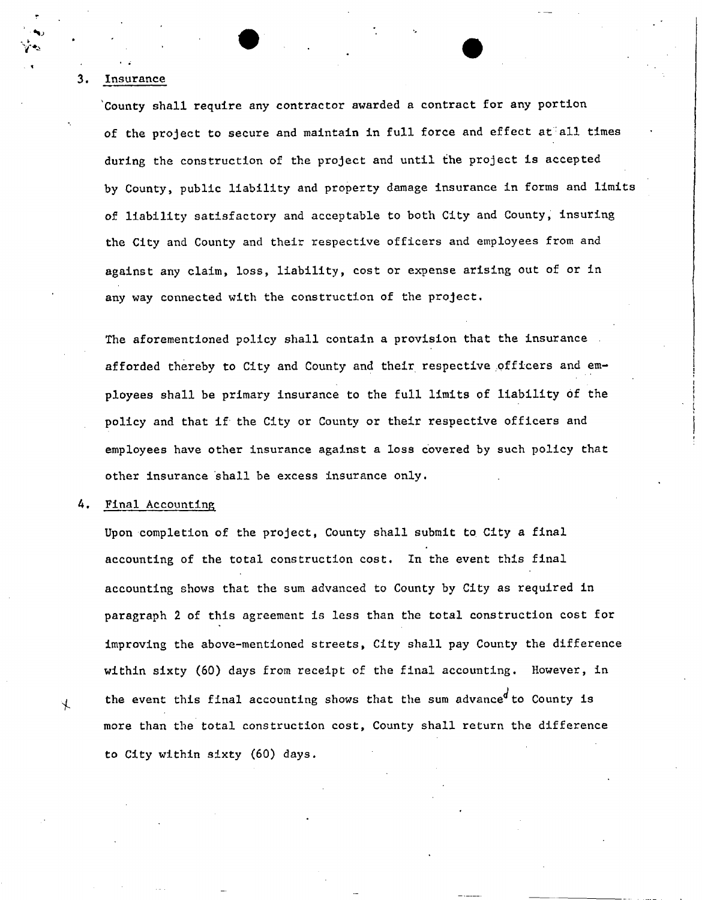#### $3.$ Insurance

County shall require any contractor awarded a contract for any portion of the project to secure and maintain in full force and effect at all times during the construction of the project and until the project is accepted by County, public liability and property damage insurance in forms and limits of liability satisfactory and acceptable to both City and County, insuring the City and County and their respective officers and employees from and against any claim, loss, liability, cost or expense arising out of or in any way connected with the construction of the project.

The aforementioned policy shall contain a provision that the insurance afforded thereby to City and County and their respective officers and employees shall be primary insurance to the full limits of liability of the policy and that if the City or County or their respective officers and employees have other insurance against a loss covered by such policy that other insurance shall be excess insurance only.

Final Accounting 4.

 $\overline{\mathcal{X}}$ 

Upon completion of the project, County shall submit to. City a final accounting of the total construction cost. In the event this final accounting shows that the sum advanced to County by City as required in paragraph 2 of this agreement is less than the total construction cost for improving the above-mentioned streets, City shall pay County the difference within sixty (60) days from receipt of the final accounting. However, in the event this final accounting shows that the sum advance<sup>d</sup> to County is more than the total construction cost, County shall return the difference to City within sixty (60) days.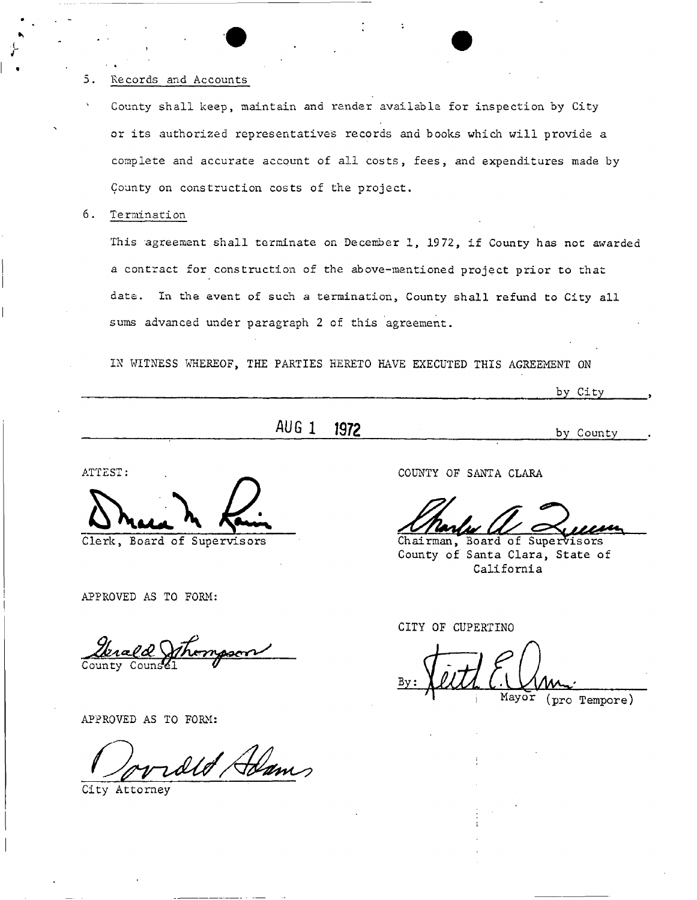### 5. Records and Accounts

- County shall keep, maintain and render available for inspection by City or its authorized representatives records and books which will provide a complete and accurate account of all costs, fees, and expenditures made by County on construction costs of the project.
- 6. Termination

This agreement shall terminate on December 1, 1972, if County has not awarded a contract for construction of the above-mentioned project prior to that date. In the event of such a termination, County shall refund to City all sums advanced under paragraph 2 of this agreement.

IN WITNESS WHEREOF, THE PARTIES HERETO HAVE EXECUTED THIS AGREEMENT ON

by City

# AUG 1 1972 by County

ATTEST:

Clerk, Board of Supervisors

APPROVED AS TO FORM:

APPROVED AS TO FORM:

old Adams

City Attorney

COUNTY OF SANTA CLARA

Chairman, Board of Supervisors County of Santa Clara, State of California

CITY OF CUPERTINO

Mayor (pro Tempore)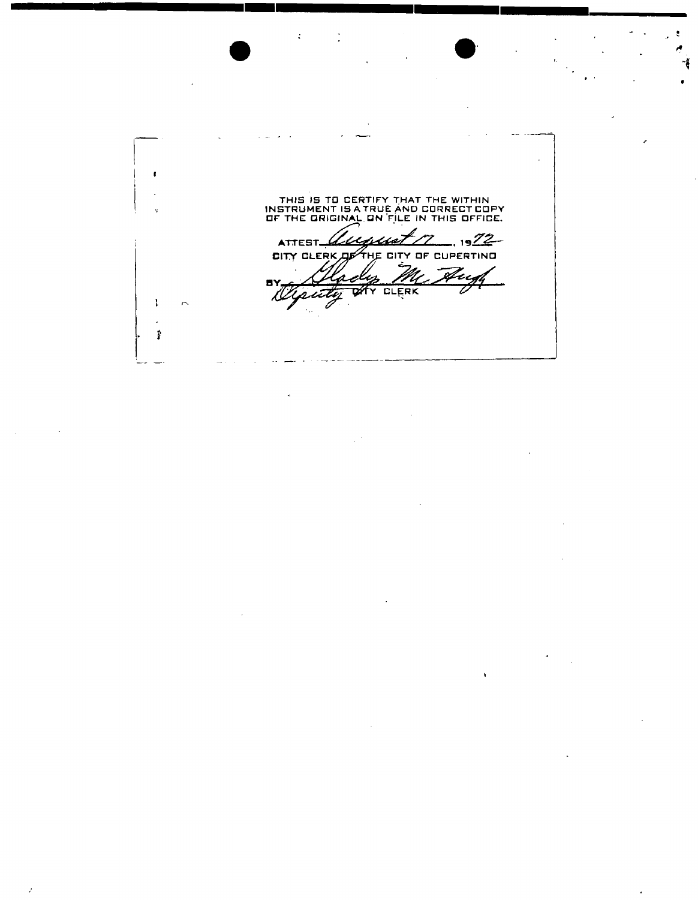THIS IS TO CERTIFY THAT THE WITHIN INSTRUMENT IS A TRUE AND CORRECT COPY OF THE ORIGINAL.ON FILE IN THIS OFFICE. ATTEST August 17  $-1922$ CITY CLERK OF THE CITY OF CUPERTING An **8Y** 7 क्रॉर CLERK sutty Z. J. l.  $\pmb{\hat{y}}$ 

**• • <sup>1</sup>**

 $\bullet$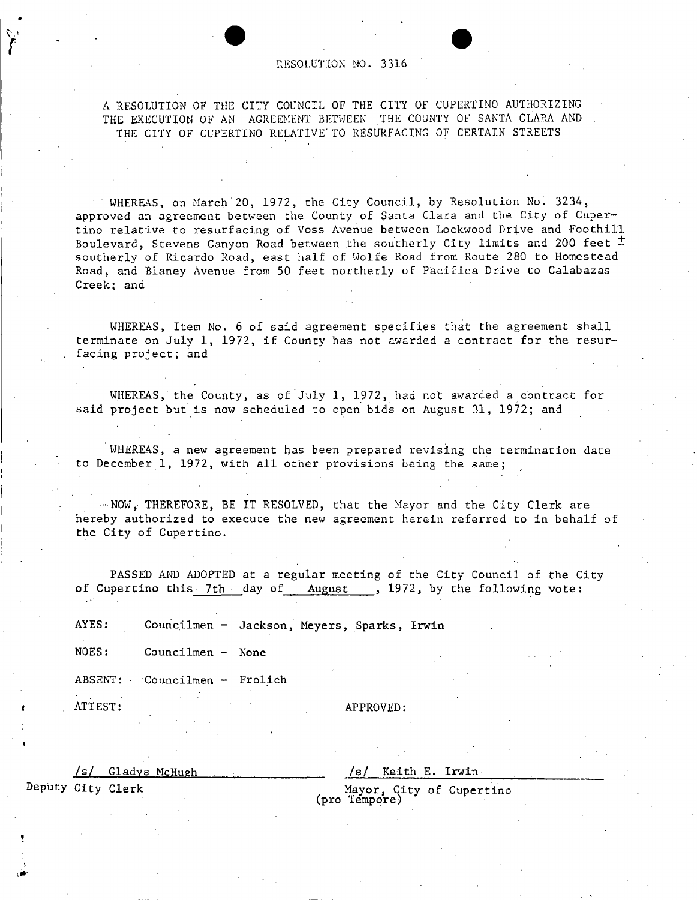#### RESOLUTION NO. 3316

A RESOLUTION OF THE CITY COUNCIL OF THE CITY OF CUPERTINO AUTHORIZING THE EXECUTION OF AM AGREEMENT BETWEEN THE COUNTY OF SANTA CLARA AND THE CITY OF CUPERTINO RELATIVE TO RESURFACING OF CERTAIN STREETS

WHEREAS, on March'20, 1972, the City Council, by Resolution No. 3234, approved an agreement between the County of Santa Clara and the City of Cupertino relative to resurfacing of Voss Avenue between Lockwood Drive and Foothill Boulevard, Stevens Canyon Road between the southerly City limits and 200 feet  $\pm$ southerly of Ricardo Road, east half of Wolfe Road from Route 280 to Homestead Road, and Blaney Avenue from 50 feet northerly of Pacifica Drive to Calabazas Creek; and

WHEREAS, Item No. 6 of said agreement specifies that the agreement shall terminate on July 1, 1972, if County has not awarded a contract for the resurfacing project; and

WHEREAS, the County, as of July 1, 1972, had not awarded a contract for said project but is now scheduled to open bids on August 31, 1972; and

WHEREAS, a new agreement has been prepared revising the termination date to December 1, 1972, with all other provisions being the same;

 $\sim$  NOW, THEREFORE, BE IT RESOLVED, that the Mayor and the City Clerk are hereby authorized to execute the new agreement herein referred to in behalf of the City of Cupertino.

PASSED AND ADOPTED at a regular meeting of the City Council of the City of Cupertino this 7th day of August , 1972, by the following vote:

AYES: Councilmen - Jackson, Meyers, Sparks, Irwin

NOES: Councilmen - None

ABSENT: Councilmen - Frolich

ATTEST: APPROVED:

/s/ Gladys McHugh

/s/ Keith E. Irwin

Mayor, City of Cupertino (pro Tempore)

Deputy City Clerk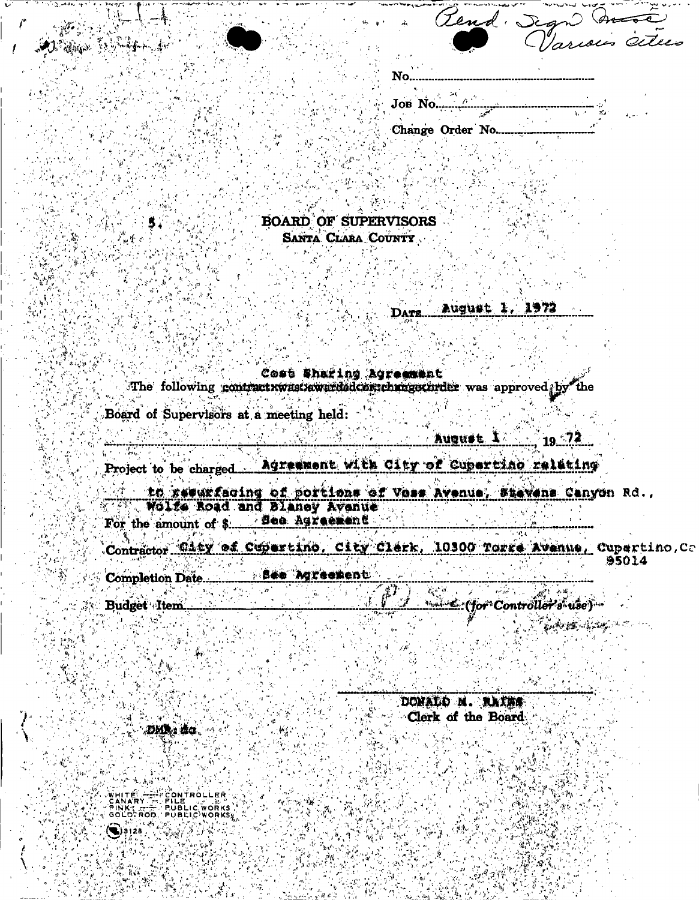|  | Lend             | $\sqrt{x}$ |                |
|--|------------------|------------|----------------|
|  | <b>reduced</b>   |            | Various cities |
|  |                  |            |                |
|  |                  |            |                |
|  |                  |            |                |
|  |                  |            |                |
|  | JOB No.          |            |                |
|  |                  |            |                |
|  | Change Order No. |            |                |
|  |                  |            |                |
|  |                  |            |                |

**BOARD OF SUPERVISORS** 

SANTA CLARA COUNTY

August 1. 1972 DATE

Cost Sharing Agreement The following contractrwastawardsdcorpchrogecurder was approved by the Board of Supervisors at a meeting held: August 1  $\therefore$  19  $\frac{72}{ }$ Project to be charged. Agreement with City of Cupertino relating to rewurfacing of portions of Voss Avenue, Stevens Canyon Rd., Bee Agreement For the amount of \$.... Contractor Gity of Cupertino, City Clerk, 10300 Torre Avenue, Cupertino, Ca 95014 **See Agreement** 

**Completion Date......** Budget Item.... laggi distinguished

DONALD N. RAINS Clerk of the Board DMN: đa

CONTROLLER PINK THE PUBLIC WORKS  $\mathcal{L}(\mathcal{F}) = \mathcal{L}(\mathcal{F})$ 

Replace of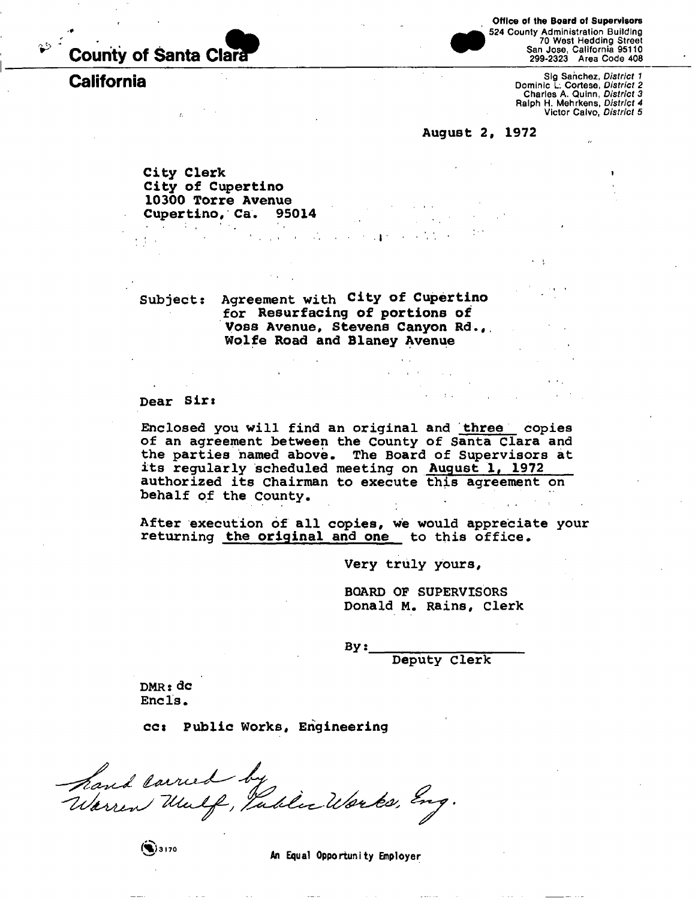

## **California**

**Office of the Board of Supervisors** 

524 County Administration Building 70 West Hedding Street San Jose, California 95110 299-2323 Area Code 408

> Sig Sanchez, *District 1*  Dominic L. Cortese, *District 2*  Charles A. Quinn, *District 3*  Ralph H. Mehrkens, *District 4*  Victor Calvo, *District 5*

**August 2, 1972** 

**City Clerk City of Cupertino 10300 Torre Avenue Cupertino, Ca. 95014 Contractor** 

**Subject: Agreement with City of Cupertino for Resurfacing of portions of Voss Avenue, Stevens Canyon Rd.,. Wolfe Road and Blaney Avenue** 

#### **Dear Sir»**

**Enclosed you will find an original and three copies of an agreement between the County of Santa Clara and the parties named above. The Board of Supervisors at its regularly scheduled meeting on August 1, 1972 authorized its chairman to execute this agreement on behalf of the County.** 

. • • . . . . i •

**After execution of all copies, we would appreciate your returning the original and one to this office.** 

**Very truly yours,** 

**BOARD OP SUPERVISORS Donald M. Rains, Clerk** 

**By:** 

**Deputy Clerk** 

**DMRs dc Encls.** 

**ccs Public Works, Engineering** 

hand larred by<br>Warren Wulf, Pablic Works, Eng.

 $\left( 9.3170 \right.$ 

An Equal Opportunity Employer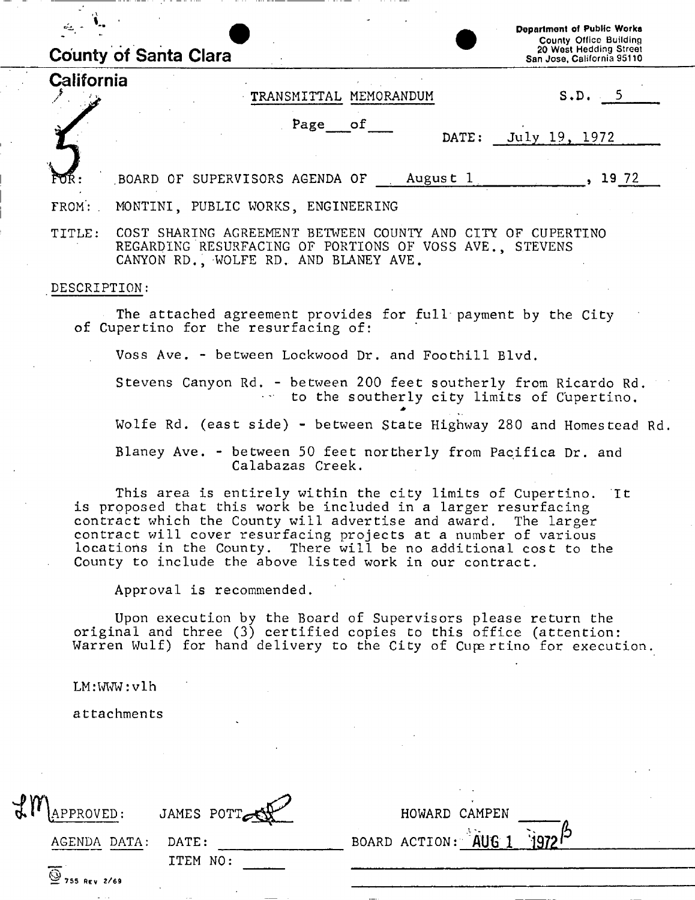| California   | <b>County of Santa Clara</b>                                                                                               |                        | <b>County Office Building</b><br>20 West Hedding Street<br>San Jose, California 95110                                                                                                                                                                                  |
|--------------|----------------------------------------------------------------------------------------------------------------------------|------------------------|------------------------------------------------------------------------------------------------------------------------------------------------------------------------------------------------------------------------------------------------------------------------|
|              |                                                                                                                            |                        |                                                                                                                                                                                                                                                                        |
|              |                                                                                                                            | TRANSMITTAL MEMORANDUM | S.D. 5                                                                                                                                                                                                                                                                 |
|              |                                                                                                                            | Page of                | DATE:<br>July 19, 1972                                                                                                                                                                                                                                                 |
|              | BOARD OF SUPERVISORS AGENDA OF August 1                                                                                    |                        | , 1972                                                                                                                                                                                                                                                                 |
| FROM:        | MONTINI, PUBLIC WORKS, ENGINEERING                                                                                         |                        |                                                                                                                                                                                                                                                                        |
| TITLE:       | REGARDING RESURFACING OF PORTIONS OF VOSS AVE., STEVENS<br>CANYON RD., WOLFE RD. AND BLANEY AVE.                           |                        | COST SHARING AGREEMENT BETWEEN COUNTY AND CITY OF CUPERTINO                                                                                                                                                                                                            |
| DESCRIPTION: |                                                                                                                            |                        |                                                                                                                                                                                                                                                                        |
|              | of Cupertino for the resurfacing of:                                                                                       |                        | The attached agreement provides for full payment by the City                                                                                                                                                                                                           |
|              | Voss Ave. - between Lockwood Dr. and Foothill Blvd.                                                                        |                        |                                                                                                                                                                                                                                                                        |
|              |                                                                                                                            |                        | Stevens Canyon Rd. - between 200 feet southerly from Ricardo Rd.<br>to the southerly city limits of Cupertino.                                                                                                                                                         |
|              |                                                                                                                            |                        | Wolfe Rd. (east side) - between State Highway 280 and Homestead Rd.                                                                                                                                                                                                    |
|              |                                                                                                                            | Calabazas Creek.       | Blaney Ave. - between 50 feet northerly from Pacifica Dr. and                                                                                                                                                                                                          |
|              | is proposed that this work be included in a larger resurfacing<br>County to include the above listed work in our contract. |                        | This area is entirely within the city limits of Cupertino. It<br>contract which the County will advertise and award. The larger<br>contract will cover resurfacing projects at a number of various<br>locations in the County. There will be no additional cost to the |
|              | Approval is recommended.                                                                                                   |                        |                                                                                                                                                                                                                                                                        |
|              |                                                                                                                            |                        | Upon execution by the Board of Supervisors please return the<br>original and three (3) certified copies to this office (attention:<br>Warren Wulf) for hand delivery to the City of Cupertino for execution.                                                           |
|              | LM:WW:vlh                                                                                                                  |                        |                                                                                                                                                                                                                                                                        |
|              | attachments                                                                                                                |                        |                                                                                                                                                                                                                                                                        |
|              |                                                                                                                            |                        |                                                                                                                                                                                                                                                                        |
|              |                                                                                                                            |                        |                                                                                                                                                                                                                                                                        |
|              |                                                                                                                            |                        |                                                                                                                                                                                                                                                                        |

| AGENDA DATA: DATE:                                     |          |  |
|--------------------------------------------------------|----------|--|
|                                                        | ITEM NO: |  |
| $\overline{\overset{\circ}{\mathcal{Q}}}$ 755 REV 2/69 |          |  |

| APPROVED:    | JAMES PUTTER |  | HUWAKU CAMPLN |                                |  |
|--------------|--------------|--|---------------|--------------------------------|--|
| AGENDA DATA: | DATE:        |  |               | BOARD ACTION: $ABC$ 106 1 1972 |  |
|              | TTEM NO.     |  |               |                                |  |